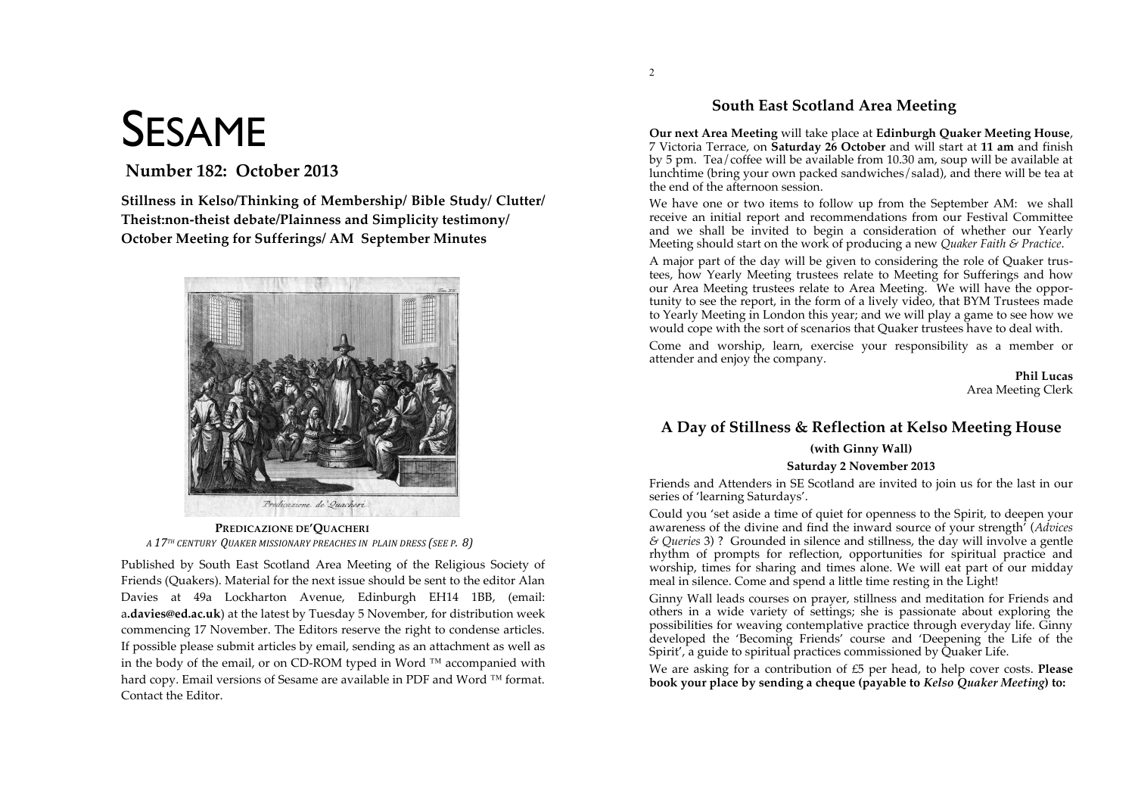# **SESAME**

# Number 182: October 2013

Stillness in Kelso/Thinking of Membership/ Bible Study/ Clutter/ Theist:non-theist debate/Plainness and Simplicity testimony/ **October Meeting for Sufferings/AM September Minutes** 



PREDICAZIONE DE'OUACHERI A 17<sup>TH</sup> CENTURY OUAKER MISSIONARY PREACHES IN PLAIN DRESS (SEE P. 8)

Published by South East Scotland Area Meeting of the Religious Society of Friends (Quakers). Material for the next issue should be sent to the editor Alan Davies at 49a Lockharton Avenue, Edinburgh EH14 1BB, (email: a.davies@ed.ac.uk) at the latest by Tuesday 5 November, for distribution week commencing 17 November. The Editors reserve the right to condense articles. If possible please submit articles by email, sending as an attachment as well as in the body of the email, or on CD-ROM typed in Word ™ accompanied with hard copy. Email versions of Sesame are available in PDF and Word ™ format. Contact the Editor.

# South East Scotland Area Meeting

Our next Area Meeting will take place at Edinburgh Ouaker Meeting House, 7 Victoria Terrace, on Saturday 26 October and will start at 11 am and finish by 5 pm. Tea/coffee will be available from 10.30 am, soup will be available at lunchtime (bring your own packed sandwiches/salad), and there will be tea at the end of the afternoon session.

We have one or two items to follow up from the September AM: we shall receive an initial report and recommendations from our Festival Committee and we shall be invited to begin a consideration of whether our Yearly Meeting should start on the work of producing a new Quaker Faith & Practice.

A major part of the day will be given to considering the role of Quaker trustees, how Yearly Meeting trustees relate to Meeting for Sufferings and how our Area Meeting trustees relate to Area Meeting. We will have the opportunity to see the report, in the form of a lively video, that BYM Trustees made to Yearly Meeting in London this year; and we will play a game to see how we would cope with the sort of scenarios that Quaker trustees have to deal with.

Come and worship, learn, exercise your responsibility as a member or attender and enjoy the company.

> Phil Lucas Area Meeting Clerk

# A Day of Stillness & Reflection at Kelso Meeting House

# (with Ginny Wall)

## Saturday 2 November 2013

Friends and Attenders in SE Scotland are invited to join us for the last in our series of 'learning Saturdays'.

Could you 'set aside a time of quiet for openness to the Spirit, to deepen your awareness of the divine and find the inward source of your strength' (Advices  $\&$  Queries 3)? Grounded in silence and stillness, the day will involve a gentle rhythm of prompts for reflection, opportunities for spiritual practice and worship, times for sharing and times alone. We will eat part of our midday meal in silence. Come and spend a little time resting in the Light!

Ginny Wall leads courses on prayer, stillness and meditation for Friends and others in a wide variety of settings; she is passionate about exploring the possibilities for weaving contemplative practice through everyday life. Ginny developed the 'Becoming Friends' course and 'Deepening the Life of the Spirit', a guide to spiritual practices commissioned by Quaker Life.

We are asking for a contribution of £5 per head, to help cover costs. Please book your place by sending a cheque (payable to Kelso Quaker Meeting) to: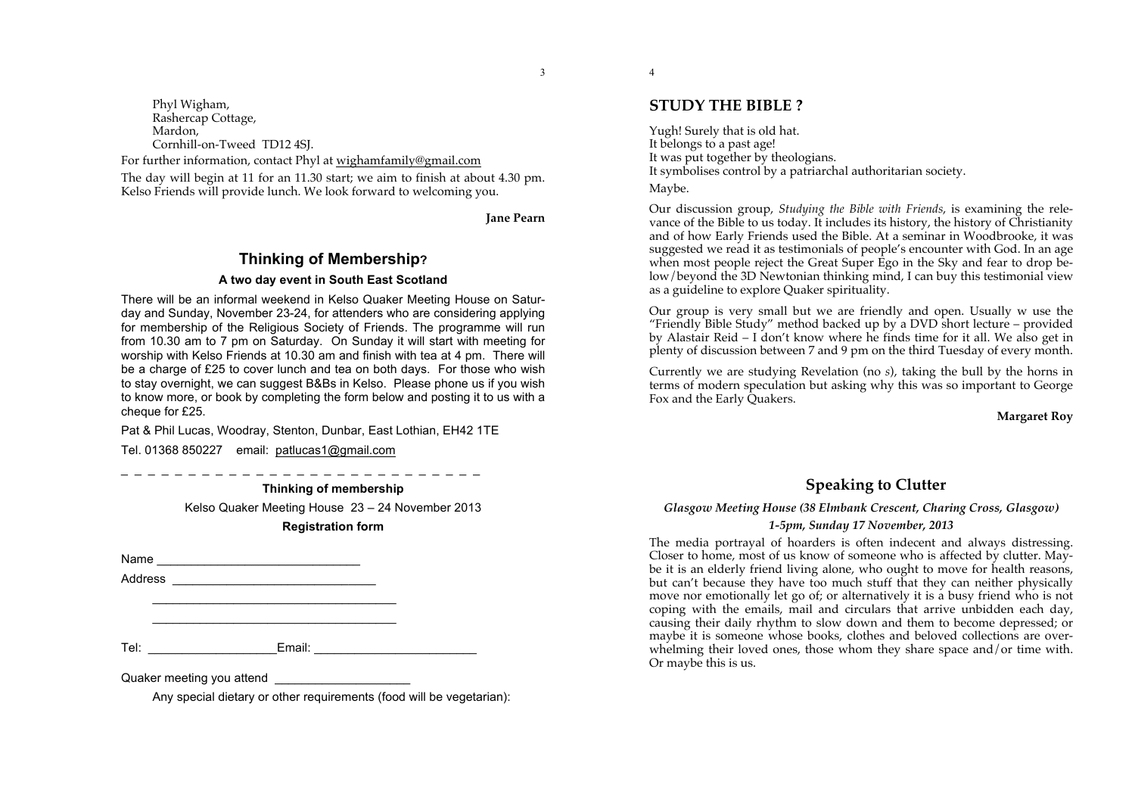3

Phyl Wigham, Rashercap Cottage, Mardon. Cornhill-on-Tweed TD12 4SJ.

For further information, contact Phyl at wighamfamily@gmail.com The day will begin at 11 for an 11.30 start; we aim to finish at about 4.30 pm.

Kelso Friends will provide lunch. We look forward to welcoming you.

**Jane Pearn**

# **Thinking of Membership? A two day event in South East Scotland**

There will be an informal weekend in Kelso Quaker Meeting House on Saturday and Sunday, November 23-24, for attenders who are considering applying for membership of the Religious Society of Friends. The programme will run from 10.30 am to 7 pm on Saturday. On Sunday it will start with meeting for worship with Kelso Friends at 10.30 am and finish with tea at 4 pm. There will be a charge of £25 to cover lunch and tea on both days. For those who wish to stay overnight, we can suggest B&Bs in Kelso. Please phone us if you wish to know more, or book by completing the form below and posting it to us with a cheque for £25.

Pat & Phil Lucas, Woodray, Stenton, Dunbar, East Lothian, EH42 1TE

Tel. 01368 850227 email: patlucas1@gmail.com

\_\_\_\_\_\_\_\_\_\_\_\_\_\_\_\_\_\_\_\_\_\_\_\_\_\_\_\_\_\_\_\_\_\_\_\_ \_\_\_\_\_\_\_\_\_\_\_\_\_\_\_\_\_\_\_\_\_\_\_\_\_\_\_\_\_\_\_\_\_\_\_\_

\_ \_ \_ \_ \_ \_ \_ \_ \_ \_ \_ \_ \_ \_ \_ \_ \_ \_ \_ \_ \_ \_ \_ \_ \_ \_ \_ **Thinking of membership**

Kelso Quaker Meeting House 23 – 24 November 2013

**Registration form**

Name \_\_\_\_\_\_\_\_\_\_\_\_\_\_\_\_\_\_\_\_\_\_\_\_\_\_\_\_\_\_

Address \_\_\_\_\_\_\_\_\_\_\_\_\_\_\_\_\_\_\_\_\_\_\_\_\_\_\_\_\_\_

Tel: \_\_\_\_\_\_\_\_\_\_\_\_\_\_\_\_\_\_\_Email: \_\_\_\_\_\_\_\_\_\_\_\_\_\_\_\_\_\_\_\_\_\_\_\_

Quaker meeting you attend

Any special dietary or other requirements (food will be vegetarian):

**STUDY THE BIBLE ?**

4

Yugh! Surely that is old hat. It belongs to a past age! It was put together by theologians. It symbolises control by a patriarchal authoritarian society. Maybe.

Our discussion group, *Studying the Bible with Friends*, is examining the relevance of the Bible to us today. It includes its history, the history of Christianity and of how Early Friends used the Bible. At a seminar in Woodbrooke, it was suggested we read it as testimonials of people's encounter with God. In an age when most people reject the Great Super Ego in the Sky and fear to drop below/beyond the 3D Newtonian thinking mind, I can buy this testimonial view as a guideline to explore Quaker spirituality.

Our group is very small but we are friendly and open. Usually w use the "Friendly Bible Study" method backed up by a DVD short lecture – provided by Alastair Reid – I don't know where he finds time for it all. We also get in plenty of discussion between 7 and 9 pm on the third Tuesday of every month.

Currently we are studying Revelation (no *s*), taking the bull by the horns in terms of modern speculation but asking why this was so important to George Fox and the Early Ouakers.

**Margaret Roy**

# **Speaking to Clutter**

# *Glasgow Meeting House (38 Elmbank Crescent, Charing Cross, Glasgow) 1-5pm, Sunday 17 November, 2013*

The media portrayal of hoarders is often indecent and always distressing. Closer to home, most of us know of someone who is affected by clutter. Maybe it is an elderly friend living alone, who ought to move for health reasons, but can't because they have too much stuff that they can neither physically move nor emotionally let go of; or alternatively it is a busy friend who is not coping with the emails, mail and circulars that arrive unbidden each day, causing their daily rhythm to slow down and them to become depressed; or maybe it is someone whose books, clothes and beloved collections are overwhelming their loved ones, those whom they share space and/or time with. Or maybe this is us.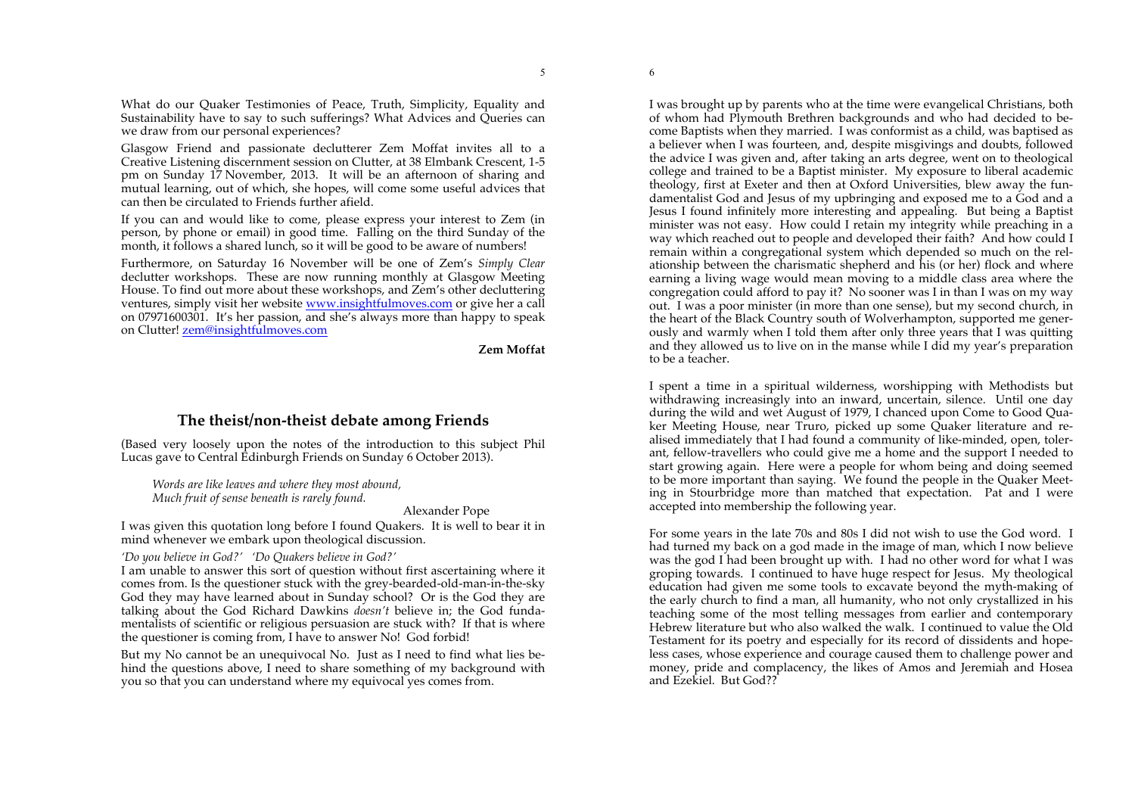What do our Quaker Testimonies of Peace, Truth, Simplicity, Equality and Sustainability have to say to such sufferings? What Advices and Queries can we draw from our personal experiences?

Glasgow Friend and passionate declutterer Zem Moffat invites all to a Creative Listening discernment session on Clutter, at 38 Elmbank Crescent, 1-5 pm on Sunday 17 November, 2013. It will be an afternoon of sharing and mutual learning, out of which, she hopes, will come some useful advices that can then be circulated to Friends further afield.

If you can and would like to come, please express your interest to Zem (in person, by phone or email) in good time. Falling on the third Sunday of the month, it follows a shared lunch, so it will be good to be aware of numbers!

Furthermore, on Saturday 16 November will be one of Zem's *Simply Clear* declutter workshops. These are now running monthly at Glasgow Meeting House. To find out more about these workshops, and Zem's other decluttering ventures, simply visit her website www.insightfulmoves.com or give her a call on 07971600301. It's her passion, and she's always more than happy to speak on Clutter! zem@insightfulmoves.com

**Zem Moffat**

# **The theist/non-theist debate among Friends**

(Based very loosely upon the notes of the introduction to this subject Phil Lucas gave to Central Edinburgh Friends on Sunday 6 October 2013).

*Words are like leaves and where they most abound, Much fruit of sense beneath is rarely found.*

Alexander Pope

I was given this quotation long before I found Quakers. It is well to bear it in mind whenever we embark upon theological discussion.

*'Do you believe in God?' 'Do Quakers believe in God?'* 

I am unable to answer this sort of question without first ascertaining where it comes from. Is the questioner stuck with the grey-bearded-old-man-in-the-sky God they may have learned about in Sunday school? Or is the God they are talking about the God Richard Dawkins *doesn't* believe in; the God fundamentalists of scientific or religious persuasion are stuck with? If that is where the questioner is coming from, I have to answer No! God forbid!

But my No cannot be an unequivocal No. Just as I need to find what lies behind the questions above, I need to share something of my background with you so that you can understand where my equivocal yes comes from.

I was brought up by parents who at the time were evangelical Christians, both of whom had Plymouth Brethren backgrounds and who had decided to become Baptists when they married. I was conformist as a child, was baptised as a believer when I was fourteen, and, despite misgivings and doubts, followed the advice I was given and, after taking an arts degree, went on to theological college and trained to be a Baptist minister. My exposure to liberal academic theology, first at Exeter and then at Oxford Universities, blew away the fundamentalist God and Jesus of my upbringing and exposed me to a God and a Jesus I found infinitely more interesting and appealing. But being a Baptist minister was not easy. How could I retain my integrity while preaching in a way which reached out to people and developed their faith? And how could I remain within a congregational system which depended so much on the relationship between the charismatic shepherd and his (or her) flock and where earning a living wage would mean moving to a middle class area where the congregation could afford to pay it? No sooner was I in than I was on my way out. I was a poor minister (in more than one sense), but my second church, in the heart of the Black Country south of Wolverhampton, supported me generously and warmly when I told them after only three years that I was quitting and they allowed us to live on in the manse while I did my year's preparation to be a teacher.

I spent a time in a spiritual wilderness, worshipping with Methodists but withdrawing increasingly into an inward, uncertain, silence. Until one day during the wild and wet August of 1979, I chanced upon Come to Good Quaker Meeting House, near Truro, picked up some Quaker literature and realised immediately that I had found a community of like-minded, open, tolerant, fellow-travellers who could give me a home and the support I needed to start growing again. Here were a people for whom being and doing seemed to be more important than saying. We found the people in the Quaker Meeting in Stourbridge more than matched that expectation. Pat and I were accepted into membership the following year.

For some years in the late 70s and 80s I did not wish to use the God word. I had turned my back on a god made in the image of man, which I now believe was the god I had been brought up with. I had no other word for what I was groping towards. I continued to have huge respect for Jesus. My theological education had given me some tools to excavate beyond the myth-making of the early church to find a man, all humanity, who not only crystallized in his teaching some of the most telling messages from earlier and contemporary Hebrew literature but who also walked the walk. I continued to value the Old Testament for its poetry and especially for its record of dissidents and hopeless cases, whose experience and courage caused them to challenge power and money, pride and complacency, the likes of Amos and Jeremiah and Hosea and Ezekiel. But God??

6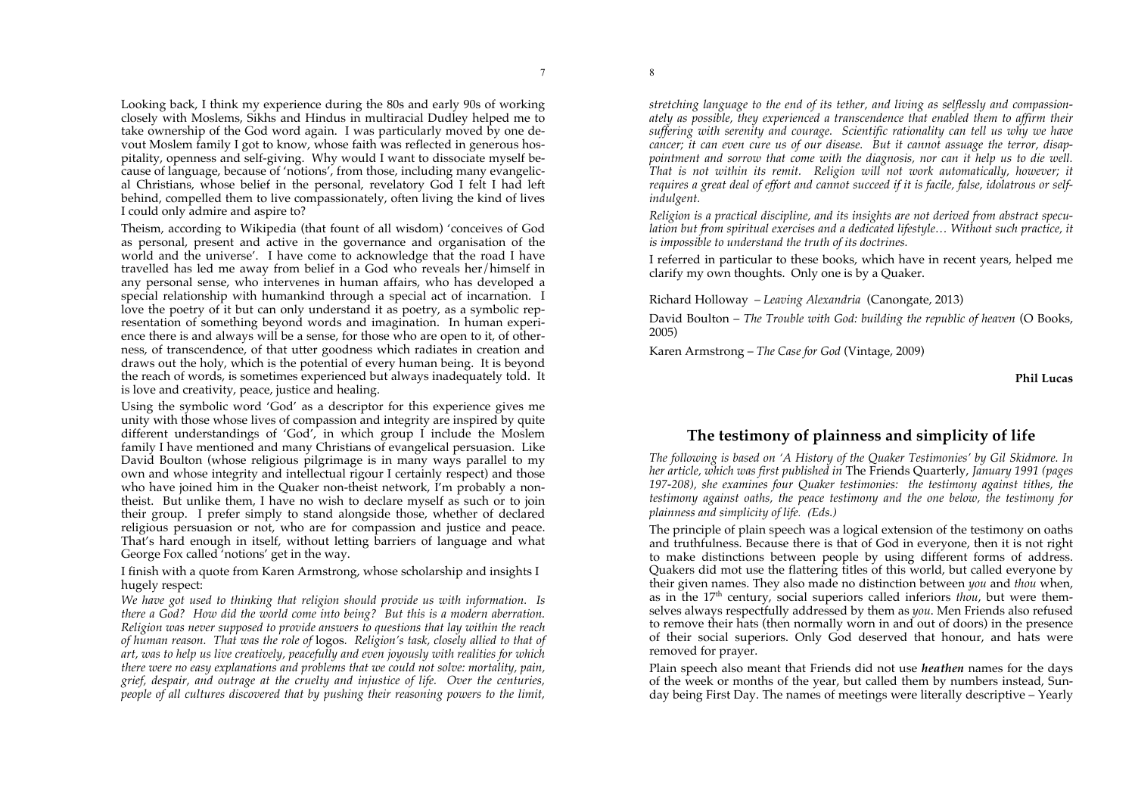Looking back, I think my experience during the 80s and early 90s of working closely with Moslems, Sikhs and Hindus in multiracial Dudley helped me to take ownership of the God word again. I was particularly moved by one devout Moslem family I got to know, whose faith was reflected in generous hospitality, openness and self-giving. Why would I want to dissociate myself because of language, because of 'notions', from those, including many evangelical Christians, whose belief in the personal, revelatory God I felt I had left behind, compelled them to live compassionately, often living the kind of lives I could only admire and aspire to?

Theism, according to Wikipedia (that fount of all wisdom) 'conceives of God as personal, present and active in the governance and organisation of the world and the universe'. I have come to acknowledge that the road I have travelled has led me away from belief in a God who reveals her/himself in any personal sense, who intervenes in human affairs, who has developed a special relationship with humankind through a special act of incarnation. I love the poetry of it but can only understand it as poetry, as a symbolic representation of something beyond words and imagination. In human experience there is and always will be a sense, for those who are open to it, of otherness, of transcendence, of that utter goodness which radiates in creation and draws out the holy, which is the potential of every human being. It is beyond the reach of words, is sometimes experienced but always inadequately told. It is love and creativity, peace, justice and healing.

Using the symbolic word 'God' as a descriptor for this experience gives me unity with those whose lives of compassion and integrity are inspired by quite different understandings of 'God', in which group I include the Moslem family I have mentioned and many Christians of evangelical persuasion. Like David Boulton (whose religious pilgrimage is in many ways parallel to my own and whose integrity and intellectual rigour I certainly respect) and those who have joined him in the Quaker non-theist network, I'm probably a nontheist. But unlike them, I have no wish to declare myself as such or to join their group. I prefer simply to stand alongside those, whether of declared religious persuasion or not, who are for compassion and justice and peace. That's hard enough in itself, without letting barriers of language and what George Fox called 'notions' get in the way.

I finish with a quote from Karen Armstrong, whose scholarship and insights I hugely respect:

*We have got used to thinking that religion should provide us with information. Is there a God? How did the world come into being? But this is a modern aberration. Religion was never supposed to provide answers to questions that lay within the reach of human reason. That was the role of* logos*. Religion's task, closely allied to that of art, was to help us live creatively, peacefully and even joyously with realities for which there were no easy explanations and problems that we could not solve: mortality, pain, grief, despair, and outrage at the cruelty and injustice of life. Over the centuries, people of all cultures discovered that by pushing their reasoning powers to the limit,* 

*stretching language to the end of its tether, and living as selflessly and compassionately as possible, they experienced a transcendence that enabled them to affirm their suffering with serenity and courage. Scientific rationality can tell us why we have cancer; it can even cure us of our disease. But it cannot assuage the terror, disappointment and sorrow that come with the diagnosis, nor can it help us to die well. That is not within its remit. Religion will not work automatically, however; it requires a great deal of effort and cannot succeed if it is facile, false, idolatrous or selfindulgent.*

*Religion is a practical discipline, and its insights are not derived from abstract speculation but from spiritual exercises and a dedicated lifestyle… Without such practice, it is impossible to understand the truth of its doctrines.* 

I referred in particular to these books, which have in recent years, helped me clarify my own thoughts. Only one is by a Quaker.

Richard Holloway – *Leaving Alexandria* (Canongate, 2013)

David Boulton – *The Trouble with God: building the republic of heaven* (O Books, 2005)

Karen Armstrong – *The Case for God* (Vintage, 2009)

**Phil Lucas**

# **The testimony of plainness and simplicity of life**

*The following is based on 'A History of the Quaker Testimonies' by Gil Skidmore. In her article, which was first published in* The Friends Quarterly, *January 1991 (pages 197-208), she examines four Quaker testimonies: the testimony against tithes, the testimony against oaths, the peace testimony and the one below, the testimony for plainness and simplicity of life. (Eds.)*

The principle of plain speech was a logical extension of the testimony on oaths and truthfulness. Because there is that of God in everyone, then it is not right to make distinctions between people by using different forms of address. Quakers did mot use the flattering titles of this world, but called everyone by their given names. They also made no distinction between *you* and *thou* when, as in the 17th century, social superiors called inferiors *thou*, but were themselves always respectfully addressed by them as *you*. Men Friends also refused to remove their hats (then normally worn in and out of doors) in the presence of their social superiors. Only God deserved that honour, and hats were removed for prayer.

Plain speech also meant that Friends did not use *heathen* names for the days of the week or months of the year, but called them by numbers instead, Sunday being First Day. The names of meetings were literally descriptive – Yearly

8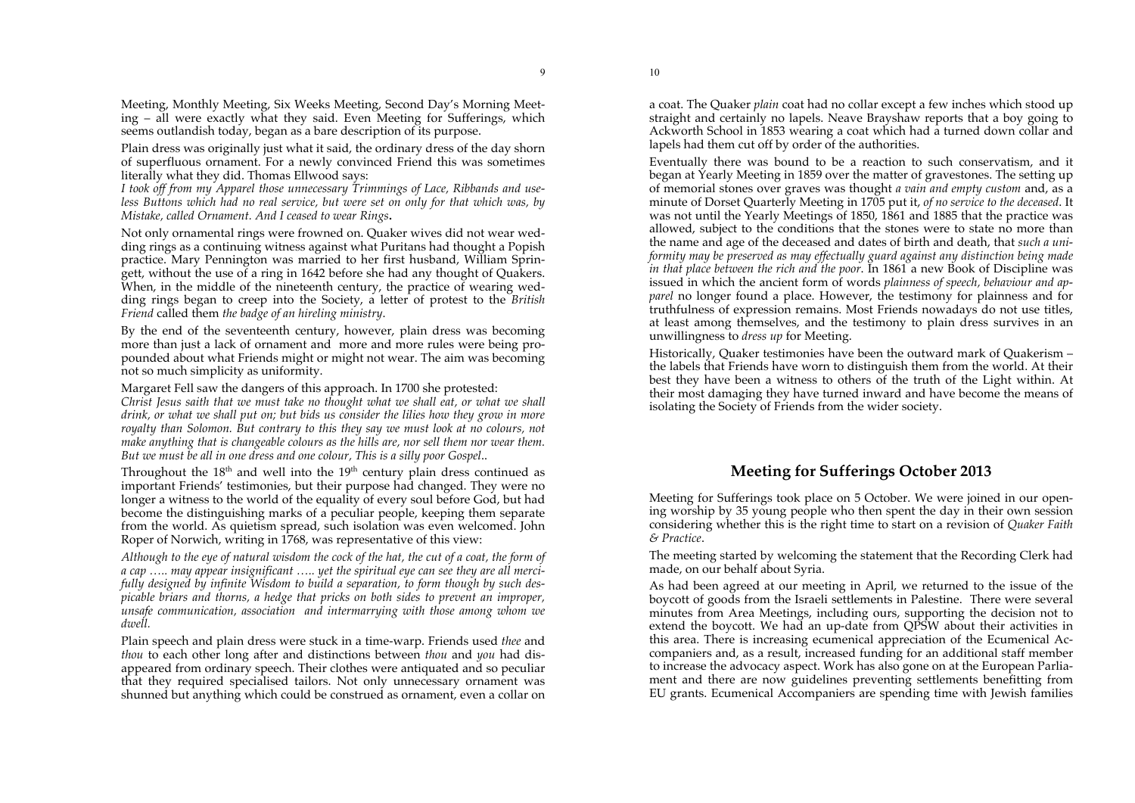Meeting, Monthly Meeting, Six Weeks Meeting, Second Day's Morning Meeting – all were exactly what they said. Even Meeting for Sufferings, which

seems outlandish today, began as a bare description of its purpose. Plain dress was originally just what it said, the ordinary dress of the day shorn of superfluous ornament. For a newly convinced Friend this was sometimes literally what they did. Thomas Ellwood says:

*I took off from my Apparel those unnecessary Trimmings of Lace, Ribbands and useless Buttons which had no real service, but were set on only for that which was, by Mistake, called Ornament. And I ceased to wear Rings***.**

Not only ornamental rings were frowned on. Quaker wives did not wear wedding rings as a continuing witness against what Puritans had thought a Popish practice. Mary Pennington was married to her first husband, William Springett, without the use of a ring in 1642 before she had any thought of Quakers. When, in the middle of the nineteenth century, the practice of wearing wedding rings began to creep into the Society, a letter of protest to the *British Friend* called them *the badge of an hireling ministry*.

By the end of the seventeenth century, however, plain dress was becoming more than just a lack of ornament and more and more rules were being propounded about what Friends might or might not wear. The aim was becoming not so much simplicity as uniformity.

Margaret Fell saw the dangers of this approach. In 1700 she protested:

*Christ Jesus saith that we must take no thought what we shall eat, or what we shall drink, or what we shall put on; but bids us consider the lilies how they grow in more royalty than Solomon. But contrary to this they say we must look at no colours, not make anything that is changeable colours as the hills are, nor sell them nor wear them. But we must be all in one dress and one colour, This is a silly poor Gospel*..

Throughout the  $18<sup>th</sup>$  and well into the  $19<sup>th</sup>$  century plain dress continued as important Friends' testimonies, but their purpose had changed. They were no longer a witness to the world of the equality of every soul before God, but had become the distinguishing marks of a peculiar people, keeping them separate from the world. As quietism spread, such isolation was even welcomed. John Roper of Norwich, writing in 1768, was representative of this view:

*Although to the eye of natural wisdom the cock of the hat, the cut of a coat, the form of a cap ….. may appear insignificant ….. yet the spiritual eye can see they are all mercifully designed by infinite Wisdom to build a separation, to form though by such despicable briars and thorns, a hedge that pricks on both sides to prevent an improper, unsafe communication, association and intermarrying with those among whom we dwell.* 

Plain speech and plain dress were stuck in a time-warp. Friends used *thee* and *thou* to each other long after and distinctions between *thou* and *you* had disappeared from ordinary speech. Their clothes were antiquated and so peculiar that they required specialised tailors. Not only unnecessary ornament was shunned but anything which could be construed as ornament, even a collar on a coat. The Quaker *plain* coat had no collar except a few inches which stood up straight and certainly no lapels. Neave Brayshaw reports that a boy going to Ackworth School in 1853 wearing a coat which had a turned down collar and lapels had them cut off by order of the authorities.

Eventually there was bound to be a reaction to such conservatism, and it began at Yearly Meeting in 1859 over the matter of gravestones. The setting up of memorial stones over graves was thought *a vain and empty custom* and, as a minute of Dorset Quarterly Meeting in 1705 put it, *of no service to the deceased*. It was not until the Yearly Meetings of 1850, 1861 and 1885 that the practice was allowed, subject to the conditions that the stones were to state no more than the name and age of the deceased and dates of birth and death, that *such a uniformity may be preserved as may effectually guard against any distinction being made in that place between the rich and the poor*. In 1861 a new Book of Discipline was issued in which the ancient form of words *plainness of speech, behaviour and apparel* no longer found a place. However, the testimony for plainness and for truthfulness of expression remains. Most Friends nowadays do not use titles, at least among themselves, and the testimony to plain dress survives in an unwillingness to *dress up* for Meeting.

Historically, Quaker testimonies have been the outward mark of Quakerism – the labels that Friends have worn to distinguish them from the world. At their best they have been a witness to others of the truth of the Light within. At their most damaging they have turned inward and have become the means of isolating the Society of Friends from the wider society.

# **Meeting for Sufferings October 2013**

Meeting for Sufferings took place on 5 October. We were joined in our opening worship by 35 young people who then spent the day in their own session considering whether this is the right time to start on a revision of *Quaker Faith & Practice*.

The meeting started by welcoming the statement that the Recording Clerk had made, on our behalf about Syria.

As had been agreed at our meeting in April, we returned to the issue of the boycott of goods from the Israeli settlements in Palestine. There were several minutes from Area Meetings, including ours, supporting the decision not to extend the boycott. We had an up-date from QPSW about their activities in this area. There is increasing ecumenical appreciation of the Ecumenical Accompaniers and, as a result, increased funding for an additional staff member to increase the advocacy aspect. Work has also gone on at the European Parliament and there are now guidelines preventing settlements benefitting from EU grants. Ecumenical Accompaniers are spending time with Jewish families

10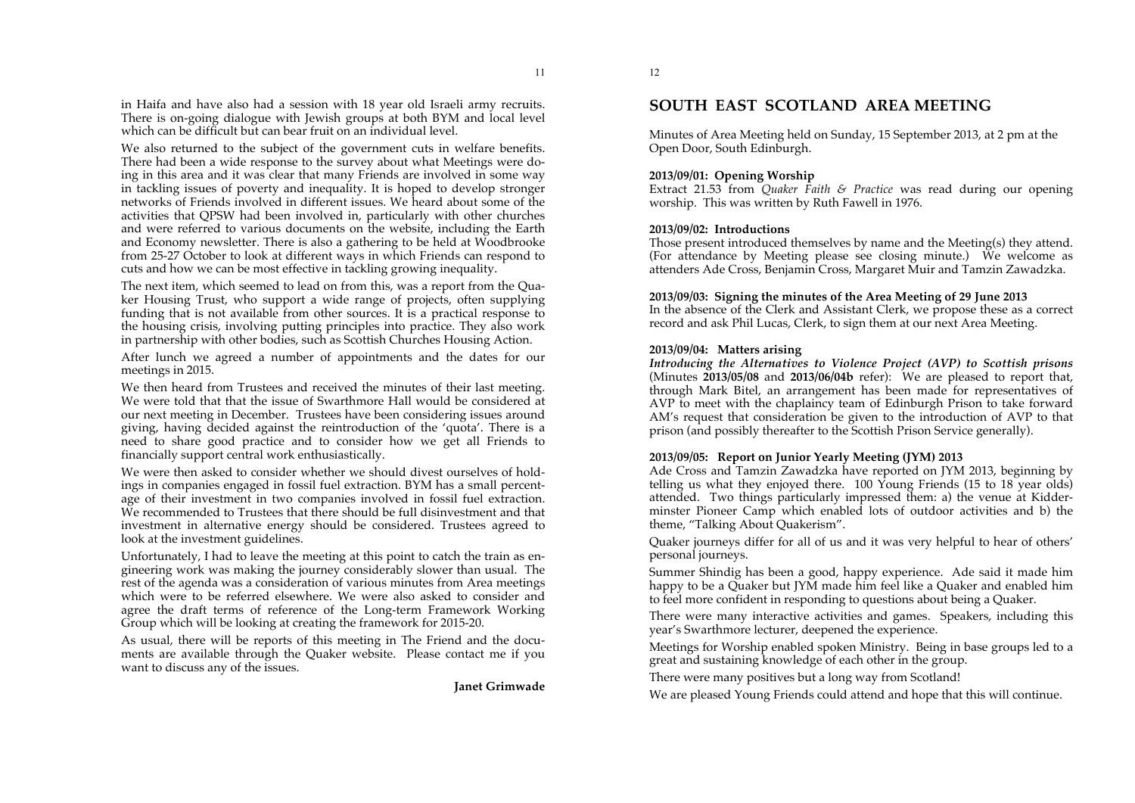in Haifa and have also had a session with 18 year old Israeli army recruits. There is on-going dialogue with Jewish groups at both BYM and local level which can be difficult but can bear fruit on an individual level.

We also returned to the subject of the government cuts in welfare benefits. There had been a wide response to the survey about what Meetings were doing in this area and it was clear that many Friends are involved in some way in tackling issues of poverty and inequality. It is hoped to develop stronger networks of Friends involved in different issues. We heard about some of the activities that QPSW had been involved in, particularly with other churches and were referred to various documents on the website, including the Earth and Economy newsletter. There is also a gathering to be held at Woodbrooke from 25-27 October to look at different ways in which Friends can respond to cuts and how we can be most effective in tackling growing inequality.

The next item, which seemed to lead on from this, was a report from the Quaker Housing Trust, who support a wide range of projects, often supplying funding that is not available from other sources. It is a practical response to the housing crisis, involving putting principles into practice. They also work in partnership with other bodies, such as Scottish Churches Housing Action.

After lunch we agreed a number of appointments and the dates for our meetings in 2015.

We then heard from Trustees and received the minutes of their last meeting. We were told that that the issue of Swarthmore Hall would be considered at our next meeting in December. Trustees have been considering issues around giving, having decided against the reintroduction of the 'quota'. There is a need to share good practice and to consider how we get all Friends to financially support central work enthusiastically.

We were then asked to consider whether we should divest ourselves of holdings in companies engaged in fossil fuel extraction. BYM has a small percentage of their investment in two companies involved in fossil fuel extraction. We recommended to Trustees that there should be full disinvestment and that investment in alternative energy should be considered. Trustees agreed to look at the investment guidelines.

Unfortunately, I had to leave the meeting at this point to catch the train as engineering work was making the journey considerably slower than usual. The rest of the agenda was a consideration of various minutes from Area meetings which were to be referred elsewhere. We were also asked to consider and agree the draft terms of reference of the Long-term Framework Working Group which will be looking at creating the framework for 2015-20.

As usual, there will be reports of this meeting in The Friend and the documents are available through the Quaker website. Please contact me if you want to discuss any of the issues.

**Janet Grimwade**

11

# **SOUTH EAST SCOTLAND AREA MEETING**

Minutes of Area Meeting held on Sunday, 15 September 2013, at 2 pm at the Open Door, South Edinburgh.

# **2013/09/01: Opening Worship**

Extract 21.53 from *Quaker Faith & Practice* was read during our opening worship. This was written by Ruth Fawell in 1976.

## **2013/09/02: Introductions**

Those present introduced themselves by name and the Meeting(s) they attend. (For attendance by Meeting please see closing minute.) We welcome as attenders Ade Cross, Benjamin Cross, Margaret Muir and Tamzin Zawadzka.

#### **2013/09/03: Signing the minutes of the Area Meeting of 29 June 2013**

In the absence of the Clerk and Assistant Clerk, we propose these as a correct record and ask Phil Lucas, Clerk, to sign them at our next Area Meeting.

#### **2013/09/04: Matters arising**

*Introducing the Alternatives to Violence Project (AVP) to Scottish prisons* (Minutes **2013/05/08** and **2013/06/04b** refer): We are pleased to report that, through Mark Bitel, an arrangement has been made for representatives of AVP to meet with the chaplaincy team of Edinburgh Prison to take forward AM's request that consideration be given to the introduction of AVP to that prison (and possibly thereafter to the Scottish Prison Service generally).

## **2013/09/05: Report on Junior Yearly Meeting (JYM) 2013**

Ade Cross and Tamzin Zawadzka have reported on JYM 2013, beginning by telling us what they enjoyed there. 100 Young Friends (15 to 18 year olds) attended. Two things particularly impressed them: a) the venue at Kidderminster Pioneer Camp which enabled lots of outdoor activities and b) the theme, "Talking About Quakerism".

Quaker journeys differ for all of us and it was very helpful to hear of others' personal journeys.

Summer Shindig has been a good, happy experience. Ade said it made him happy to be a Quaker but JYM made him feel like a Quaker and enabled him to feel more confident in responding to questions about being a Quaker.

There were many interactive activities and games. Speakers, including this year's Swarthmore lecturer, deepened the experience.

Meetings for Worship enabled spoken Ministry. Being in base groups led to a great and sustaining knowledge of each other in the group.

There were many positives but a long way from Scotland!

We are pleased Young Friends could attend and hope that this will continue.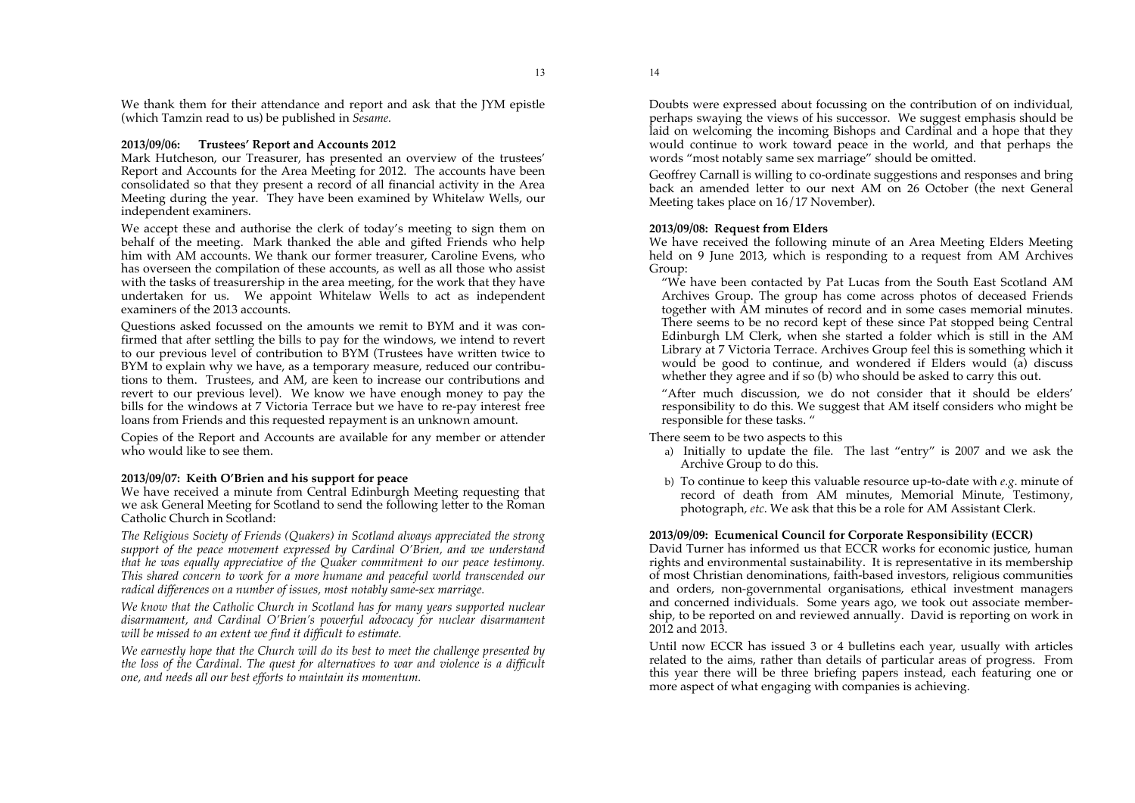# **2013/09/06: Trustees' Report and Accounts 2012**

Mark Hutcheson, our Treasurer, has presented an overview of the trustees' Report and Accounts for the Area Meeting for 2012. The accounts have been consolidated so that they present a record of all financial activity in the Area Meeting during the year. They have been examined by Whitelaw Wells, our independent examiners.

We accept these and authorise the clerk of today's meeting to sign them on behalf of the meeting. Mark thanked the able and gifted Friends who help him with AM accounts. We thank our former treasurer, Caroline Evens, who has overseen the compilation of these accounts, as well as all those who assist with the tasks of treasurership in the area meeting, for the work that they have undertaken for us. We appoint Whitelaw Wells to act as independent examiners of the 2013 accounts.

Questions asked focussed on the amounts we remit to BYM and it was confirmed that after settling the bills to pay for the windows, we intend to revert to our previous level of contribution to BYM (Trustees have written twice to BYM to explain why we have, as a temporary measure, reduced our contributions to them. Trustees, and AM, are keen to increase our contributions and revert to our previous level). We know we have enough money to pay the bills for the windows at 7 Victoria Terrace but we have to re-pay interest free loans from Friends and this requested repayment is an unknown amount.

Copies of the Report and Accounts are available for any member or attender who would like to see them.

## **2013/09/07: Keith O'Brien and his support for peace**

We have received a minute from Central Edinburgh Meeting requesting that we ask General Meeting for Scotland to send the following letter to the Roman Catholic Church in Scotland:

*The Religious Society of Friends (Quakers) in Scotland always appreciated the strong support of the peace movement expressed by Cardinal O'Brien, and we understand that he was equally appreciative of the Quaker commitment to our peace testimony. This shared concern to work for a more humane and peaceful world transcended our radical differences on a number of issues, most notably same-sex marriage.* 

*We know that the Catholic Church in Scotland has for many years supported nuclear disarmament, and Cardinal O'Brien's powerful advocacy for nuclear disarmament will be missed to an extent we find it difficult to estimate.* 

*We earnestly hope that the Church will do its best to meet the challenge presented by the loss of the Cardinal. The quest for alternatives to war and violence is a difficult one, and needs all our best efforts to maintain its momentum.* 

Doubts were expressed about focussing on the contribution of on individual, perhaps swaying the views of his successor. We suggest emphasis should be laid on welcoming the incoming Bishops and Cardinal and a hope that they would continue to work toward peace in the world, and that perhaps the words "most notably same sex marriage" should be omitted.

Geoffrey Carnall is willing to co-ordinate suggestions and responses and bring back an amended letter to our next AM on 26 October (the next General Meeting takes place on 16/17 November).

# **2013/09/08: Request from Elders**

We have received the following minute of an Area Meeting Elders Meeting held on 9 June 2013, which is responding to a request from AM Archives Group:

"We have been contacted by Pat Lucas from the South East Scotland AM Archives Group. The group has come across photos of deceased Friends together with AM minutes of record and in some cases memorial minutes. There seems to be no record kept of these since Pat stopped being Central Edinburgh LM Clerk, when she started a folder which is still in the AM Library at 7 Victoria Terrace. Archives Group feel this is something which it would be good to continue, and wondered if Elders would (a) discuss whether they agree and if so (b) who should be asked to carry this out.

"After much discussion, we do not consider that it should be elders' responsibility to do this. We suggest that AM itself considers who might be responsible for these tasks. "

## There seem to be two aspects to this

- a) Initially to update the file. The last "entry" is 2007 and we ask the Archive Group to do this.
- b) To continue to keep this valuable resource up-to-date with *e.g*. minute of record of death from AM minutes, Memorial Minute, Testimony, photograph, *etc*. We ask that this be a role for AM Assistant Clerk.

# **2013/09/09: Ecumenical Council for Corporate Responsibility (ECCR)**

David Turner has informed us that ECCR works for economic justice, human rights and environmental sustainability. It is representative in its membership of most Christian denominations, faith-based investors, religious communities and orders, non-governmental organisations, ethical investment managers and concerned individuals. Some years ago, we took out associate membership, to be reported on and reviewed annually. David is reporting on work in 2012 and 2013.

Until now ECCR has issued 3 or 4 bulletins each year, usually with articles related to the aims, rather than details of particular areas of progress. From this year there will be three briefing papers instead, each featuring one or more aspect of what engaging with companies is achieving.

14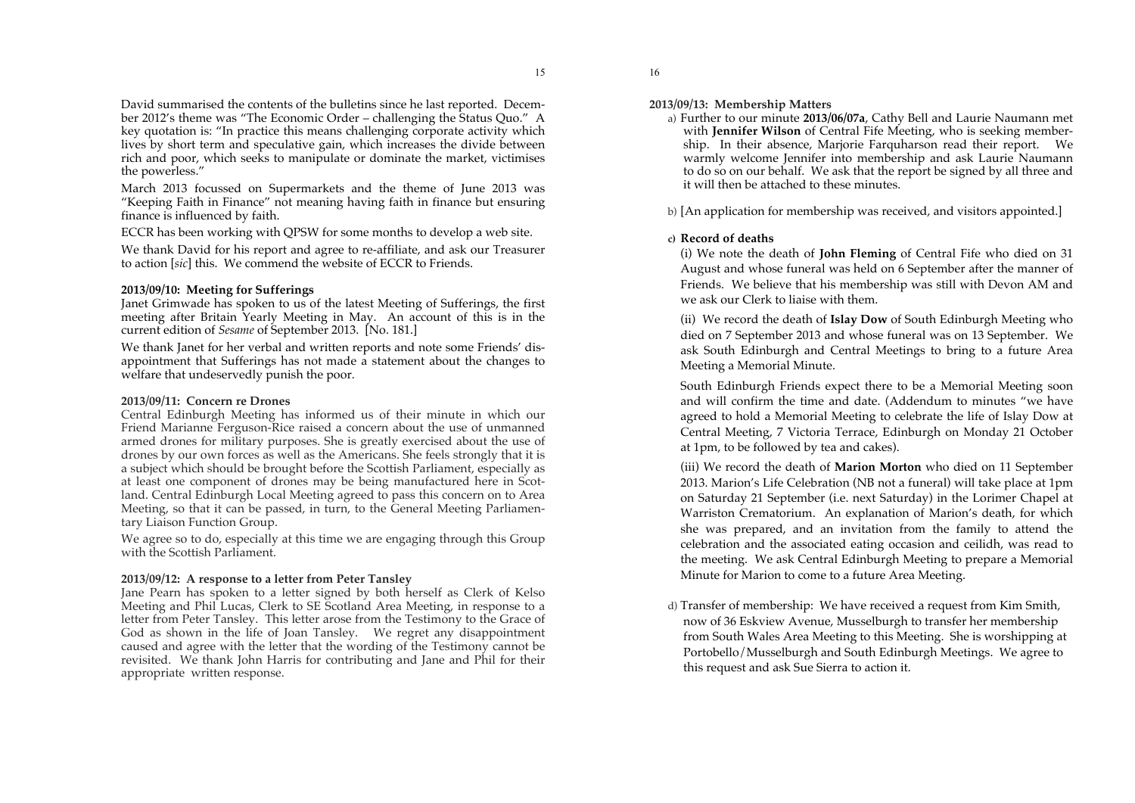David summarised the contents of the bulletins since he last reported. December 2012's theme was "The Economic Order – challenging the Status Quo." A key quotation is: "In practice this means challenging corporate activity which lives by short term and speculative gain, which increases the divide between rich and poor, which seeks to manipulate or dominate the market, victimises the powerless."

March 2013 focussed on Supermarkets and the theme of June 2013 was "Keeping Faith in Finance" not meaning having faith in finance but ensuring finance is influenced by faith.

ECCR has been working with QPSW for some months to develop a web site.

We thank David for his report and agree to re-affiliate, and ask our Treasurer to action [*sic*] this. We commend the website of ECCR to Friends.

## **2013/09/10: Meeting for Sufferings**

Janet Grimwade has spoken to us of the latest Meeting of Sufferings, the first meeting after Britain Yearly Meeting in May. An account of this is in the current edition of *Sesame* of September 2013. [No. 181.]

We thank Janet for her verbal and written reports and note some Friends' disappointment that Sufferings has not made a statement about the changes to welfare that undeservedly punish the poor.

#### **2013/09/11: Concern re Drones**

Central Edinburgh Meeting has informed us of their minute in which our Friend Marianne Ferguson-Rice raised a concern about the use of unmanned armed drones for military purposes. She is greatly exercised about the use of drones by our own forces as well as the Americans. She feels strongly that it is a subject which should be brought before the Scottish Parliament, especially as at least one component of drones may be being manufactured here in Scotland. Central Edinburgh Local Meeting agreed to pass this concern on to Area Meeting, so that it can be passed, in turn, to the General Meeting Parliamentary Liaison Function Group.

We agree so to do, especially at this time we are engaging through this Group with the Scottish Parliament.

#### **2013/09/12: A response to a letter from Peter Tansley**

Jane Pearn has spoken to a letter signed by both herself as Clerk of Kelso Meeting and Phil Lucas, Clerk to SE Scotland Area Meeting, in response to a letter from Peter Tansley. This letter arose from the Testimony to the Grace of God as shown in the life of Joan Tansley. We regret any disappointment caused and agree with the letter that the wording of the Testimony cannot be revisited. We thank John Harris for contributing and Jane and Phil for their appropriate written response.

**2013/09/13: Membership Matters**

16

a) Further to our minute **2013/06/07a**, Cathy Bell and Laurie Naumann met with **Jennifer Wilson** of Central Fife Meeting, who is seeking membership. In their absence, Marjorie Farquharson read their report. We warmly welcome Jennifer into membership and ask Laurie Naumann to do so on our behalf. We ask that the report be signed by all three and it will then be attached to these minutes.

b) [An application for membership was received, and visitors appointed.]

#### **c) Record of deaths**

(i) We note the death of **John Fleming** of Central Fife who died on 31 August and whose funeral was held on 6 September after the manner of Friends. We believe that his membership was still with Devon AM and we ask our Clerk to liaise with them.

(ii) We record the death of **Islay Dow** of South Edinburgh Meeting who died on 7 September 2013 and whose funeral was on 13 September. We ask South Edinburgh and Central Meetings to bring to a future Area Meeting a Memorial Minute.

South Edinburgh Friends expect there to be a Memorial Meeting soon and will confirm the time and date. (Addendum to minutes "we have agreed to hold a Memorial Meeting to celebrate the life of Islay Dow at Central Meeting, 7 Victoria Terrace, Edinburgh on Monday 21 October at 1pm, to be followed by tea and cakes).

(iii) We record the death of **Marion Morton** who died on 11 September 2013. Marion's Life Celebration (NB not a funeral) will take place at 1pm on Saturday 21 September (i.e. next Saturday) in the Lorimer Chapel at Warriston Crematorium. An explanation of Marion's death, for which she was prepared, and an invitation from the family to attend the celebration and the associated eating occasion and ceilidh, was read to the meeting. We ask Central Edinburgh Meeting to prepare a Memorial Minute for Marion to come to a future Area Meeting.

d) Transfer of membership: We have received a request from Kim Smith, now of 36 Eskview Avenue, Musselburgh to transfer her membership from South Wales Area Meeting to this Meeting. She is worshipping at Portobello/Musselburgh and South Edinburgh Meetings. We agree to this request and ask Sue Sierra to action it.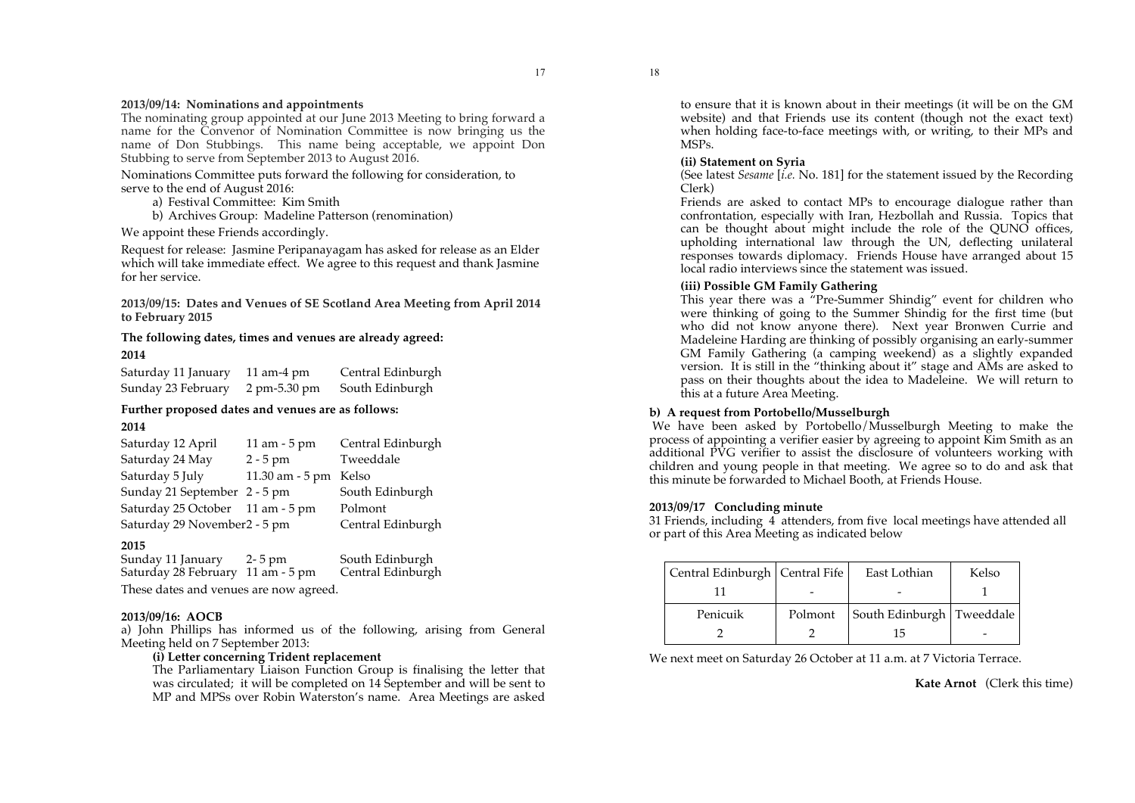## **2013/09/14: Nominations and appointments**

The nominating group appointed at our June 2013 Meeting to bring forward a name for the Convenor of Nomination Committee is now bringing us the name of Don Stubbings. This name being acceptable, we appoint Don Stubbing to serve from September 2013 to August 2016.

Nominations Committee puts forward the following for consideration, to serve to the end of August 2016:

- a) Festival Committee: Kim Smith
- b) Archives Group: Madeline Patterson (renomination)

We appoint these Friends accordingly.

Request for release: Jasmine Peripanayagam has asked for release as an Elder which will take immediate effect. We agree to this request and thank Jasmine for her service.

**2013/09/15: Dates and Venues of SE Scotland Area Meeting from April 2014 to February 2015**

## **The following dates, times and venues are already agreed: 2014**

Saturday 11 January 11 am-4 pm Central Edinburgh Sunday 23 February 2 pm-5.30 pm South Edinburgh

# **Further proposed dates and venues are as follows:**

#### **2014**

| Saturday 12 April                | 11 am - 5 pm             | Central Edinburgh |
|----------------------------------|--------------------------|-------------------|
| Saturday 24 May                  | $2 - 5$ pm               | Tweeddale         |
| Saturday 5 July                  | $11.30$ am $-5$ pm Kelso |                   |
| Sunday 21 September 2 - 5 pm     |                          | South Edinburgh   |
| Saturday 25 October 11 am - 5 pm |                          | Polmont           |
| Saturday 29 November 2 - 5 pm    |                          | Central Edinburgh |

#### **2015**

Sunday 11 January 2-5 pm South Edinburgh<br>
Saturday 28 February 11 am - 5 pm Central Edinburgh Saturday  $28$  February  $11$  am - 5 pm These dates and venues are now agreed.

#### **2013/09/16: AOCB**

a) John Phillips has informed us of the following, arising from General Meeting held on 7 September 2013:

#### **(i) Letter concerning Trident replacement**

The Parliamentary Liaison Function Group is finalising the letter that was circulated; it will be completed on 14 September and will be sent to MP and MPSs over Robin Waterston's name. Area Meetings are asked

to ensure that it is known about in their meetings (it will be on the GM website) and that Friends use its content (though not the exact text) when holding face-to-face meetings with, or writing, to their MPs and MSPs.

#### **(ii) Statement on Syria**

18

(See latest *Sesame* [*i.e.* No. 181] for the statement issued by the Recording Clerk)

Friends are asked to contact MPs to encourage dialogue rather than confrontation, especially with Iran, Hezbollah and Russia. Topics that can be thought about might include the role of the OUNO offices. upholding international law through the UN, deflecting unilateral responses towards diplomacy. Friends House have arranged about 15 local radio interviews since the statement was issued.

### **(iii) Possible GM Family Gathering**

This year there was a "Pre-Summer Shindig" event for children who were thinking of going to the Summer Shindig for the first time (but who did not know anyone there). Next year Bronwen Currie and Madeleine Harding are thinking of possibly organising an early-summer GM Family Gathering (a camping weekend) as a slightly expanded version. It is still in the "thinking about it" stage and AMs are asked to pass on their thoughts about the idea to Madeleine. We will return to this at a future Area Meeting.

## **b) A request from Portobello/Musselburgh**

We have been asked by Portobello/Musselburgh Meeting to make the process of appointing a verifier easier by agreeing to appoint Kim Smith as an additional PVG verifier to assist the disclosure of volunteers working with children and young people in that meeting. We agree so to do and ask that this minute be forwarded to Michael Booth, at Friends House.

## **2013/09/17 Concluding minute**

31 Friends, including 4 attenders, from five local meetings have attended all or part of this Area Meeting as indicated below

| Central Edinburgh   Central Fife |         | East Lothian              | Kelso |
|----------------------------------|---------|---------------------------|-------|
|                                  |         |                           |       |
| Penicuik                         | Polmont | South Edinburgh Tweeddale |       |
|                                  |         | 15                        |       |

We next meet on Saturday 26 October at 11 a.m. at 7 Victoria Terrace.

**Kate Arnot** (Clerk this time)